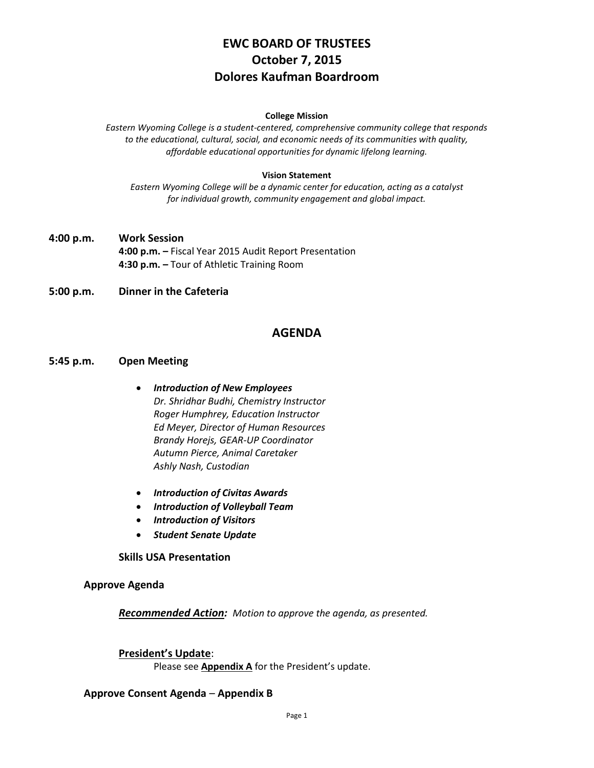# **EWC BOARD OF TRUSTEES October 7, 2015 Dolores Kaufman Boardroom**

#### **College Mission**

*Eastern Wyoming College is a student-centered, comprehensive community college that responds to the educational, cultural, social, and economic needs of its communities with quality, affordable educational opportunities for dynamic lifelong learning.*

#### **Vision Statement**

*Eastern Wyoming College will be a dynamic center for education, acting as a catalyst for individual growth, community engagement and global impact.*

**4:00 p.m. Work Session 4:00 p.m. –** Fiscal Year 2015 Audit Report Presentation **4:30 p.m. –** Tour of Athletic Training Room

#### **5:00 p.m. Dinner in the Cafeteria**

# **AGENDA**

#### **5:45 p.m. Open Meeting**

- *Introduction of New Employees Dr. Shridhar Budhi, Chemistry Instructor Roger Humphrey, Education Instructor Ed Meyer, Director of Human Resources Brandy Horejs, GEAR-UP Coordinator Autumn Pierce, Animal Caretaker Ashly Nash, Custodian*
- *Introduction of Civitas Awards*
- *Introduction of Volleyball Team*
- *Introduction of Visitors*
- *Student Senate Update*

#### **Skills USA Presentation**

#### **Approve Agenda**

*Recommended Action: Motion to approve the agenda, as presented.*

#### **President's Update**:

Please see **Appendix A** for the President's update.

#### **Approve Consent Agenda** – **Appendix B**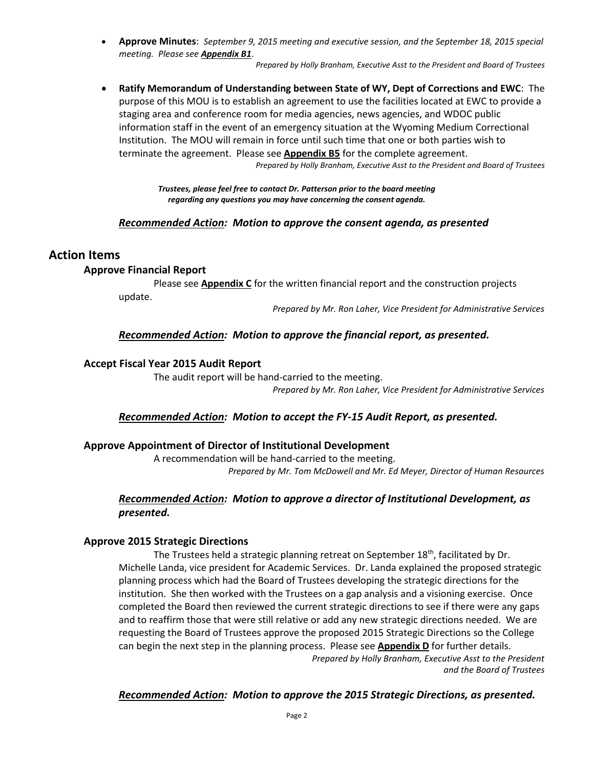**Approve Minutes**: *September 9, 2015 meeting and executive session, and the September 18, 2015 special meeting. Please see Appendix B1*.

*Prepared by Holly Branham, Executive Asst to the President and Board of Trustees*

 **Ratify Memorandum of Understanding between State of WY, Dept of Corrections and EWC**: The purpose of this MOU is to establish an agreement to use the facilities located at EWC to provide a staging area and conference room for media agencies, news agencies, and WDOC public information staff in the event of an emergency situation at the Wyoming Medium Correctional Institution. The MOU will remain in force until such time that one or both parties wish to terminate the agreement. Please see **Appendix B5** for the complete agreement. *Prepared by Holly Branham, Executive Asst to the President and Board of Trustees*

> *Trustees, please feel free to contact Dr. Patterson prior to the board meeting regarding any questions you may have concerning the consent agenda.*

# *Recommended Action: Motion to approve the consent agenda, as presented*

# **Action Items**

#### **Approve Financial Report**

Please see **Appendix C** for the written financial report and the construction projects update.

*Prepared by Mr. Ron Laher, Vice President for Administrative Services*

# *Recommended Action: Motion to approve the financial report, as presented.*

# **Accept Fiscal Year 2015 Audit Report**

The audit report will be hand-carried to the meeting.

*Prepared by Mr. Ron Laher, Vice President for Administrative Services*

# *Recommended Action: Motion to accept the FY-15 Audit Report, as presented.*

# **Approve Appointment of Director of Institutional Development**

A recommendation will be hand-carried to the meeting. *Prepared by Mr. Tom McDowell and Mr. Ed Meyer, Director of Human Resources*

# *Recommended Action: Motion to approve a director of Institutional Development, as presented.*

# **Approve 2015 Strategic Directions**

The Trustees held a strategic planning retreat on September 18<sup>th</sup>, facilitated by Dr. Michelle Landa, vice president for Academic Services. Dr. Landa explained the proposed strategic planning process which had the Board of Trustees developing the strategic directions for the institution. She then worked with the Trustees on a gap analysis and a visioning exercise. Once completed the Board then reviewed the current strategic directions to see if there were any gaps and to reaffirm those that were still relative or add any new strategic directions needed. We are requesting the Board of Trustees approve the proposed 2015 Strategic Directions so the College can begin the next step in the planning process. Please see **Appendix D** for further details. *Prepared by Holly Branham, Executive Asst to the President and the Board of Trustees*

# *Recommended Action: Motion to approve the 2015 Strategic Directions, as presented.*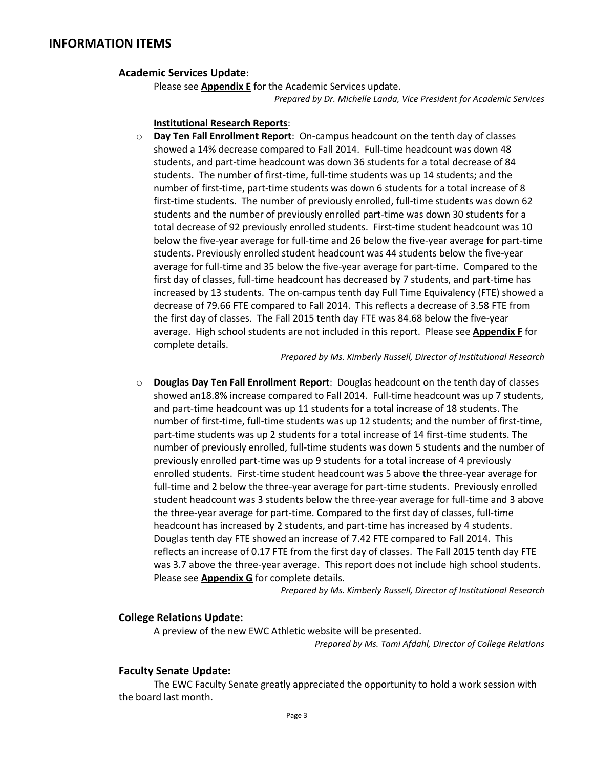# **INFORMATION ITEMS**

#### **Academic Services Update**:

Please see **Appendix E** for the Academic Services update. *Prepared by Dr. Michelle Landa, Vice President for Academic Services*

#### **Institutional Research Reports**:

o **Day Ten Fall Enrollment Report**: On-campus headcount on the tenth day of classes showed a 14% decrease compared to Fall 2014. Full-time headcount was down 48 students, and part-time headcount was down 36 students for a total decrease of 84 students. The number of first-time, full-time students was up 14 students; and the number of first-time, part-time students was down 6 students for a total increase of 8 first-time students. The number of previously enrolled, full-time students was down 62 students and the number of previously enrolled part-time was down 30 students for a total decrease of 92 previously enrolled students. First-time student headcount was 10 below the five-year average for full-time and 26 below the five-year average for part-time students. Previously enrolled student headcount was 44 students below the five-year average for full-time and 35 below the five-year average for part-time. Compared to the first day of classes, full-time headcount has decreased by 7 students, and part-time has increased by 13 students. The on-campus tenth day Full Time Equivalency (FTE) showed a decrease of 79.66 FTE compared to Fall 2014. This reflects a decrease of 3.58 FTE from the first day of classes. The Fall 2015 tenth day FTE was 84.68 below the five-year average. High school students are not included in this report. Please see **Appendix F** for complete details.

*Prepared by Ms. Kimberly Russell, Director of Institutional Research*

o **Douglas Day Ten Fall Enrollment Report**: Douglas headcount on the tenth day of classes showed an18.8% increase compared to Fall 2014. Full-time headcount was up 7 students, and part-time headcount was up 11 students for a total increase of 18 students. The number of first-time, full-time students was up 12 students; and the number of first-time, part-time students was up 2 students for a total increase of 14 first-time students. The number of previously enrolled, full-time students was down 5 students and the number of previously enrolled part-time was up 9 students for a total increase of 4 previously enrolled students. First-time student headcount was 5 above the three-year average for full-time and 2 below the three-year average for part-time students. Previously enrolled student headcount was 3 students below the three-year average for full-time and 3 above the three-year average for part-time. Compared to the first day of classes, full-time headcount has increased by 2 students, and part-time has increased by 4 students. Douglas tenth day FTE showed an increase of 7.42 FTE compared to Fall 2014. This reflects an increase of 0.17 FTE from the first day of classes. The Fall 2015 tenth day FTE was 3.7 above the three-year average. This report does not include high school students. Please see **Appendix G** for complete details.

*Prepared by Ms. Kimberly Russell, Director of Institutional Research*

#### **College Relations Update:**

A preview of the new EWC Athletic website will be presented.

*Prepared by Ms. Tami Afdahl, Director of College Relations*

#### **Faculty Senate Update:**

The EWC Faculty Senate greatly appreciated the opportunity to hold a work session with the board last month.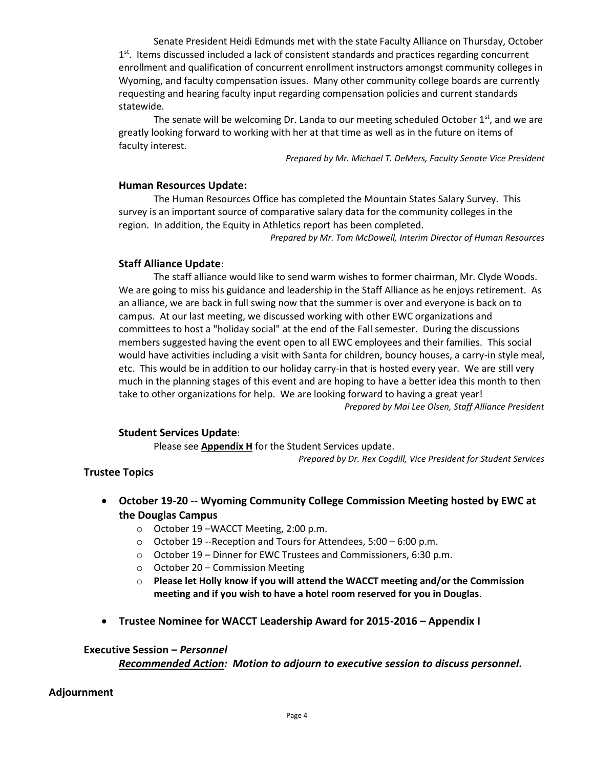Senate President Heidi Edmunds met with the state Faculty Alliance on Thursday, October 1<sup>st</sup>. Items discussed included a lack of consistent standards and practices regarding concurrent enrollment and qualification of concurrent enrollment instructors amongst community colleges in Wyoming, and faculty compensation issues. Many other community college boards are currently requesting and hearing faculty input regarding compensation policies and current standards statewide.

The senate will be welcoming Dr. Landa to our meeting scheduled October  $1<sup>st</sup>$ , and we are greatly looking forward to working with her at that time as well as in the future on items of faculty interest.

*Prepared by Mr. Michael T. DeMers, Faculty Senate Vice President*

#### **Human Resources Update:**

The Human Resources Office has completed the Mountain States Salary Survey. This survey is an important source of comparative salary data for the community colleges in the region. In addition, the Equity in Athletics report has been completed.

*Prepared by Mr. Tom McDowell, Interim Director of Human Resources*

# **Staff Alliance Update**:

The staff alliance would like to send warm wishes to former chairman, Mr. Clyde Woods. We are going to miss his guidance and leadership in the Staff Alliance as he enjoys retirement. As an alliance, we are back in full swing now that the summer is over and everyone is back on to campus. At our last meeting, we discussed working with other EWC organizations and committees to host a "holiday social" at the end of the Fall semester. During the discussions members suggested having the event open to all EWC employees and their families. This social would have activities including a visit with Santa for children, bouncy houses, a carry-in style meal, etc. This would be in addition to our holiday carry-in that is hosted every year. We are still very much in the planning stages of this event and are hoping to have a better idea this month to then take to other organizations for help. We are looking forward to having a great year! *Prepared by Mai Lee Olsen, Staff Alliance President*

# **Student Services Update**:

Please see **Appendix H** for the Student Services update.

*Prepared by Dr. Rex Cogdill, Vice President for Student Services*

# **Trustee Topics**

- **October 19-20 -- Wyoming Community College Commission Meeting hosted by EWC at the Douglas Campus**
	- o October 19 –WACCT Meeting, 2:00 p.m.
	- o October 19 --Reception and Tours for Attendees, 5:00 6:00 p.m.
	- o October 19 Dinner for EWC Trustees and Commissioners, 6:30 p.m.
	- o October 20 Commission Meeting
	- o **Please let Holly know if you will attend the WACCT meeting and/or the Commission meeting and if you wish to have a hotel room reserved for you in Douglas**.
- **Trustee Nominee for WACCT Leadership Award for 2015-2016 – Appendix I**

#### **Executive Session –** *Personnel*

*Recommended Action: Motion to adjourn to executive session to discuss personnel.*

# **Adjournment**